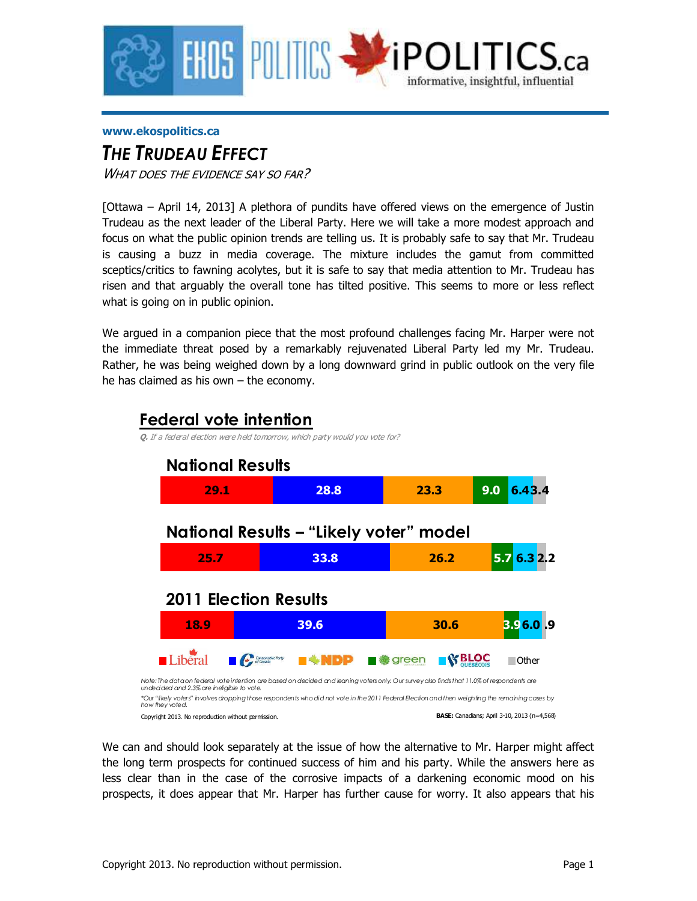

#### **www.ekospolitics.ca**

# *THE TRUDEAU EFFECT*

WHAT DOES THE EVIDENCE SAY SO FAR?

[Ottawa – April 14, 2013] A plethora of pundits have offered views on the emergence of Justin Trudeau as the next leader of the Liberal Party. Here we will take a more modest approach and focus on what the public opinion trends are telling us. It is probably safe to say that Mr. Trudeau is causing a buzz in media coverage. The mixture includes the gamut from committed sceptics/critics to fawning acolytes, but it is safe to say that media attention to Mr. Trudeau has risen and that arguably the overall tone has tilted positive. This seems to more or less reflect what is going on in public opinion.

We argued in a companion piece that the most profound challenges facing Mr. Harper were not the immediate threat posed by a remarkably rejuvenated Liberal Party led my Mr. Trudeau. Rather, he was being weighed down by a long downward grind in public outlook on the very file he has claimed as his own – the economy.



We can and should look separately at the issue of how the alternative to Mr. Harper might affect the long term prospects for continued success of him and his party. While the answers here as less clear than in the case of the corrosive impacts of a darkening economic mood on his prospects, it does appear that Mr. Harper has further cause for worry. It also appears that his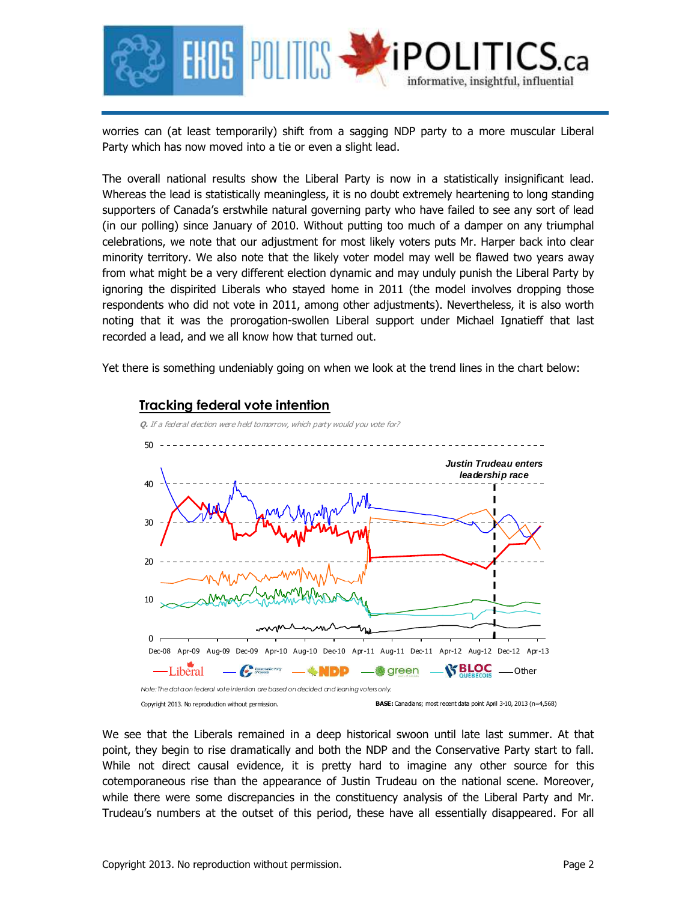

worries can (at least temporarily) shift from a sagging NDP party to a more muscular Liberal Party which has now moved into a tie or even a slight lead.

The overall national results show the Liberal Party is now in a statistically insignificant lead. Whereas the lead is statistically meaningless, it is no doubt extremely heartening to long standing supporters of Canada's erstwhile natural governing party who have failed to see any sort of lead (in our polling) since January of 2010. Without putting too much of a damper on any triumphal celebrations, we note that our adjustment for most likely voters puts Mr. Harper back into clear minority territory. We also note that the likely voter model may well be flawed two years away from what might be a very different election dynamic and may unduly punish the Liberal Party by ignoring the dispirited Liberals who stayed home in 2011 (the model involves dropping those respondents who did not vote in 2011, among other adjustments). Nevertheless, it is also worth noting that it was the prorogation-swollen Liberal support under Michael Ignatieff that last recorded a lead, and we all know how that turned out.

Yet there is something undeniably going on when we look at the trend lines in the chart below:



### We see that the Liberals remained in a deep historical swoon until late last summer. At that point, they begin to rise dramatically and both the NDP and the Conservative Party start to fall. While not direct causal evidence, it is pretty hard to imagine any other source for this cotemporaneous rise than the appearance of Justin Trudeau on the national scene. Moreover, while there were some discrepancies in the constituency analysis of the Liberal Party and Mr. Trudeau's numbers at the outset of this period, these have all essentially disappeared. For all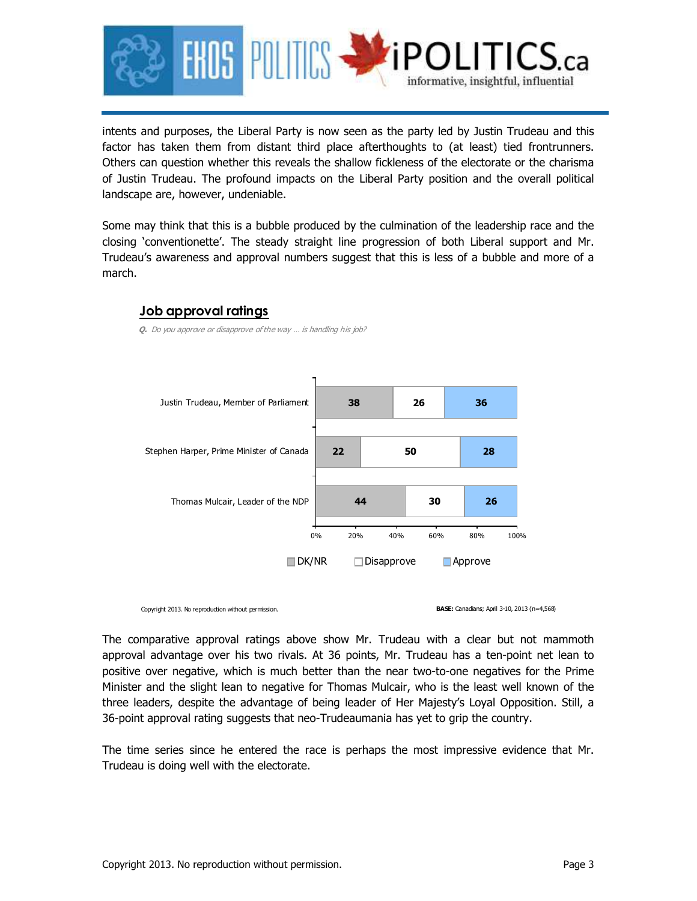

intents and purposes, the Liberal Party is now seen as the party led by Justin Trudeau and this factor has taken them from distant third place afterthoughts to (at least) tied frontrunners. Others can question whether this reveals the shallow fickleness of the electorate or the charisma of Justin Trudeau. The profound impacts on the Liberal Party position and the overall political landscape are, however, undeniable.

Some may think that this is a bubble produced by the culmination of the leadership race and the closing 'conventionette'. The steady straight line progression of both Liberal support and Mr. Trudeau's awareness and approval numbers suggest that this is less of a bubble and more of a march.



**Q.** Do you approve or disapprove of the way … is handling his job?



Copyright 2013. No reproduction without permission.

**BASE:** Canadians; April 3-10, 2013 (n=4,568)

The comparative approval ratings above show Mr. Trudeau with a clear but not mammoth approval advantage over his two rivals. At 36 points, Mr. Trudeau has a ten-point net lean to positive over negative, which is much better than the near two-to-one negatives for the Prime Minister and the slight lean to negative for Thomas Mulcair, who is the least well known of the three leaders, despite the advantage of being leader of Her Majesty's Loyal Opposition. Still, a 36-point approval rating suggests that neo-Trudeaumania has yet to grip the country.

The time series since he entered the race is perhaps the most impressive evidence that Mr. Trudeau is doing well with the electorate.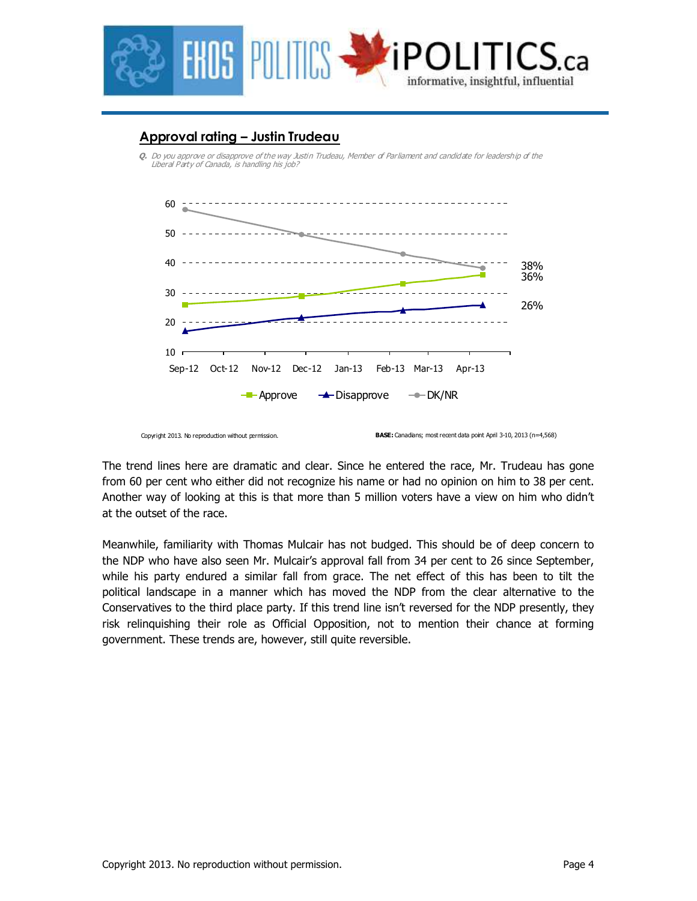

## **Approval rating – Justin Trudeau**

**Q.** Do you approve or disapprove of the way Justin Trudeau, Member of Parliament and candidate for leadership of the Liberal Party of Canada, is handling his job?



Copyright 2013. No reproduction without permission.

The trend lines here are dramatic and clear. Since he entered the race, Mr. Trudeau has gone from 60 per cent who either did not recognize his name or had no opinion on him to 38 per cent. Another way of looking at this is that more than 5 million voters have a view on him who didn't at the outset of the race.

Meanwhile, familiarity with Thomas Mulcair has not budged. This should be of deep concern to the NDP who have also seen Mr. Mulcair's approval fall from 34 per cent to 26 since September, while his party endured a similar fall from grace. The net effect of this has been to tilt the political landscape in a manner which has moved the NDP from the clear alternative to the Conservatives to the third place party. If this trend line isn't reversed for the NDP presently, they risk relinquishing their role as Official Opposition, not to mention their chance at forming government. These trends are, however, still quite reversible.

**BASE:** Canadians; most recent data point April 3-10, 2013 (n=4,568)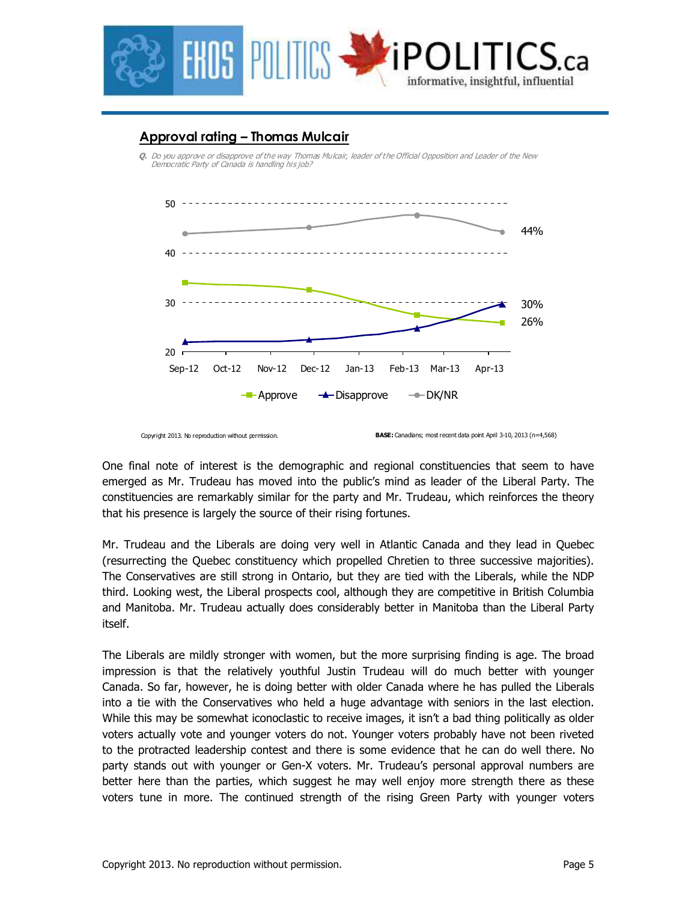

## **Approval rating – Thomas Mulcair**

**Q.** Do you approve or disapprove of the way Thomas Mulcair, leader of the Official Opposition and Leader of the New Democratic Party of Canada is handling his job?



Copyright 2013. No reproduction without permission.

One final note of interest is the demographic and regional constituencies that seem to have emerged as Mr. Trudeau has moved into the public's mind as leader of the Liberal Party. The constituencies are remarkably similar for the party and Mr. Trudeau, which reinforces the theory that his presence is largely the source of their rising fortunes.

Mr. Trudeau and the Liberals are doing very well in Atlantic Canada and they lead in Quebec (resurrecting the Quebec constituency which propelled Chretien to three successive majorities). The Conservatives are still strong in Ontario, but they are tied with the Liberals, while the NDP third. Looking west, the Liberal prospects cool, although they are competitive in British Columbia and Manitoba. Mr. Trudeau actually does considerably better in Manitoba than the Liberal Party itself.

The Liberals are mildly stronger with women, but the more surprising finding is age. The broad impression is that the relatively youthful Justin Trudeau will do much better with younger Canada. So far, however, he is doing better with older Canada where he has pulled the Liberals into a tie with the Conservatives who held a huge advantage with seniors in the last election. While this may be somewhat iconoclastic to receive images, it isn't a bad thing politically as older voters actually vote and younger voters do not. Younger voters probably have not been riveted to the protracted leadership contest and there is some evidence that he can do well there. No party stands out with younger or Gen-X voters. Mr. Trudeau's personal approval numbers are better here than the parties, which suggest he may well enjoy more strength there as these voters tune in more. The continued strength of the rising Green Party with younger voters

**BASE:** Canadians; most recent data point April 3-10, 2013 (n=4,568)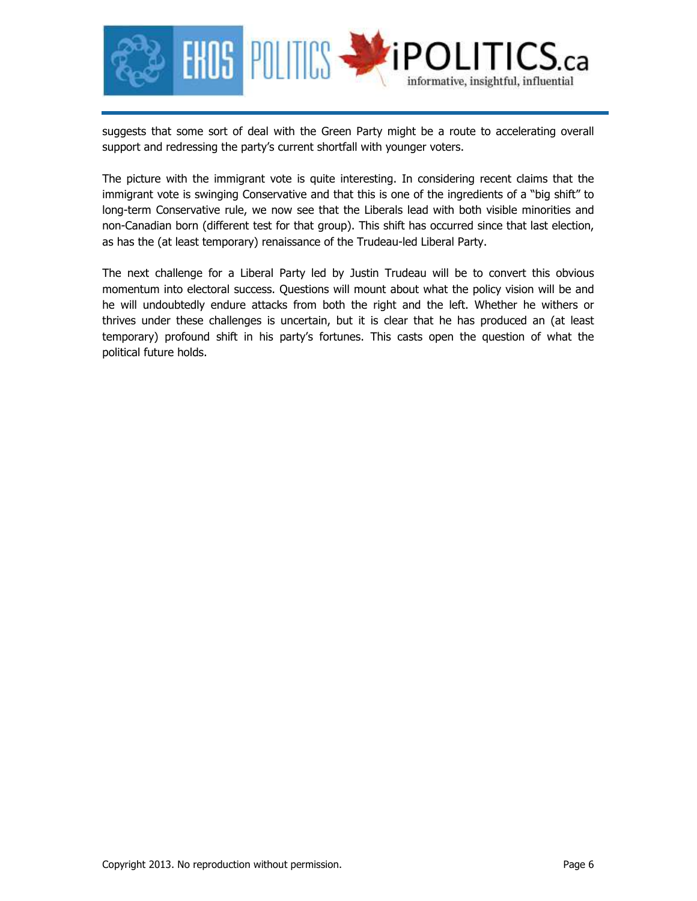

suggests that some sort of deal with the Green Party might be a route to accelerating overall support and redressing the party's current shortfall with younger voters.

The picture with the immigrant vote is quite interesting. In considering recent claims that the immigrant vote is swinging Conservative and that this is one of the ingredients of a "big shift" to long-term Conservative rule, we now see that the Liberals lead with both visible minorities and non-Canadian born (different test for that group). This shift has occurred since that last election, as has the (at least temporary) renaissance of the Trudeau-led Liberal Party.

The next challenge for a Liberal Party led by Justin Trudeau will be to convert this obvious momentum into electoral success. Questions will mount about what the policy vision will be and he will undoubtedly endure attacks from both the right and the left. Whether he withers or thrives under these challenges is uncertain, but it is clear that he has produced an (at least temporary) profound shift in his party's fortunes. This casts open the question of what the political future holds.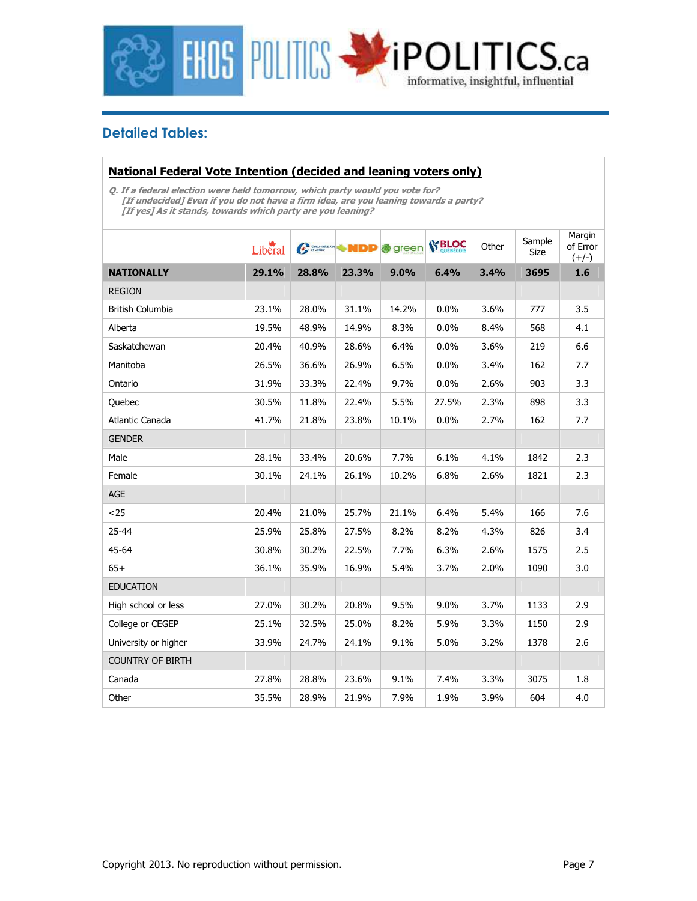

## **Detailed Tables:**

#### **National Federal Vote Intention (decided and leaning voters only)**

**Q. If a federal election were held tomorrow, which party would you vote for? [If undecided] Even if you do not have a firm idea, are you leaning towards a party? [If yes] As it stands, towards which party are you leaning?** 

|                         | Liberal | Conservative Part | ∻NDD  | green | <b>SP BLOC</b> | Other | Sample<br>Size | Margin<br>of Error<br>$(+/-)$ |
|-------------------------|---------|-------------------|-------|-------|----------------|-------|----------------|-------------------------------|
| <b>NATIONALLY</b>       | 29.1%   | 28.8%             | 23.3% | 9.0%  | 6.4%           | 3.4%  | 3695           | 1.6                           |
| <b>REGION</b>           |         |                   |       |       |                |       |                |                               |
| <b>British Columbia</b> | 23.1%   | 28.0%             | 31.1% | 14.2% | 0.0%           | 3.6%  | 777            | 3.5                           |
| Alberta                 | 19.5%   | 48.9%             | 14.9% | 8.3%  | 0.0%           | 8.4%  | 568            | 4.1                           |
| Saskatchewan            | 20.4%   | 40.9%             | 28.6% | 6.4%  | 0.0%           | 3.6%  | 219            | 6.6                           |
| Manitoba                | 26.5%   | 36.6%             | 26.9% | 6.5%  | 0.0%           | 3.4%  | 162            | 7.7                           |
| Ontario                 | 31.9%   | 33.3%             | 22.4% | 9.7%  | $0.0\%$        | 2.6%  | 903            | 3.3                           |
| Quebec                  | 30.5%   | 11.8%             | 22.4% | 5.5%  | 27.5%          | 2.3%  | 898            | 3.3                           |
| Atlantic Canada         | 41.7%   | 21.8%             | 23.8% | 10.1% | 0.0%           | 2.7%  | 162            | 7.7                           |
| <b>GENDER</b>           |         |                   |       |       |                |       |                |                               |
| Male                    | 28.1%   | 33.4%             | 20.6% | 7.7%  | 6.1%           | 4.1%  | 1842           | 2.3                           |
| Female                  | 30.1%   | 24.1%             | 26.1% | 10.2% | 6.8%           | 2.6%  | 1821           | 2.3                           |
| AGE                     |         |                   |       |       |                |       |                |                               |
| $25$                    | 20.4%   | 21.0%             | 25.7% | 21.1% | 6.4%           | 5.4%  | 166            | 7.6                           |
| 25-44                   | 25.9%   | 25.8%             | 27.5% | 8.2%  | 8.2%           | 4.3%  | 826            | 3.4                           |
| 45-64                   | 30.8%   | 30.2%             | 22.5% | 7.7%  | 6.3%           | 2.6%  | 1575           | 2.5                           |
| $65+$                   | 36.1%   | 35.9%             | 16.9% | 5.4%  | 3.7%           | 2.0%  | 1090           | 3.0                           |
| <b>EDUCATION</b>        |         |                   |       |       |                |       |                |                               |
| High school or less     | 27.0%   | 30.2%             | 20.8% | 9.5%  | 9.0%           | 3.7%  | 1133           | 2.9                           |
| College or CEGEP        | 25.1%   | 32.5%             | 25.0% | 8.2%  | 5.9%           | 3.3%  | 1150           | 2.9                           |
| University or higher    | 33.9%   | 24.7%             | 24.1% | 9.1%  | 5.0%           | 3.2%  | 1378           | 2.6                           |
| <b>COUNTRY OF BIRTH</b> |         |                   |       |       |                |       |                |                               |
| Canada                  | 27.8%   | 28.8%             | 23.6% | 9.1%  | 7.4%           | 3.3%  | 3075           | 1.8                           |
| Other                   | 35.5%   | 28.9%             | 21.9% | 7.9%  | 1.9%           | 3.9%  | 604            | 4.0                           |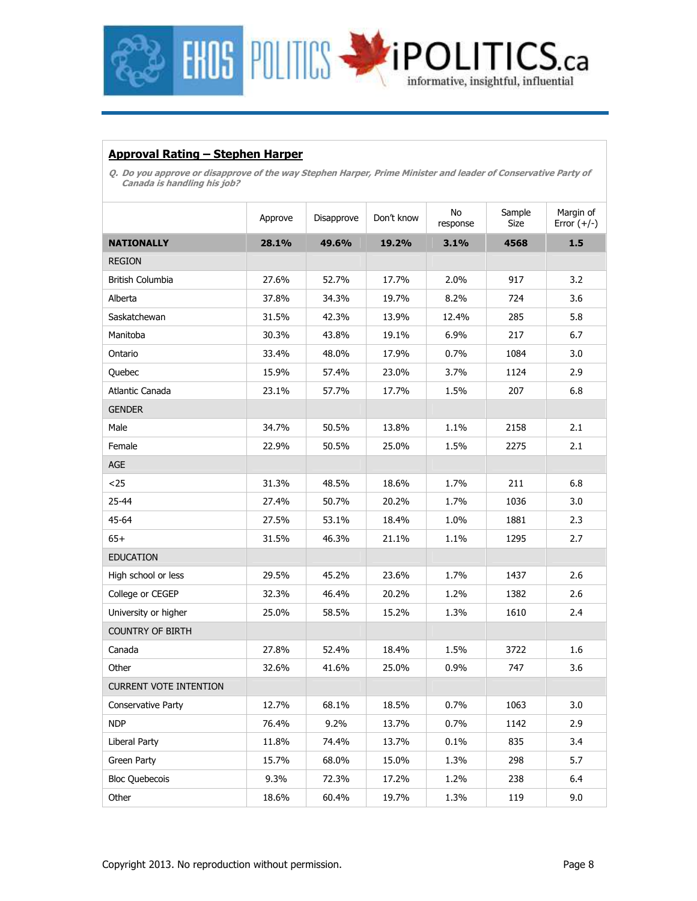

#### **Approval Rating – Stephen Harper**

**Q. Do you approve or disapprove of the way Stephen Harper, Prime Minister and leader of Conservative Party of Canada is handling his job?** 

|                               | Approve | Disapprove | Don't know | No<br>response | Sample<br>Size | Margin of<br>Error $(+/-)$ |
|-------------------------------|---------|------------|------------|----------------|----------------|----------------------------|
| <b>NATIONALLY</b>             | 28.1%   | 49.6%      | 19.2%      | 3.1%           | 4568           | 1.5                        |
| <b>REGION</b>                 |         |            |            |                |                |                            |
| British Columbia              | 27.6%   | 52.7%      | 17.7%      | 2.0%           | 917            | 3.2                        |
| Alberta                       | 37.8%   | 34.3%      | 19.7%      | 8.2%           | 724            | 3.6                        |
| Saskatchewan                  | 31.5%   | 42.3%      | 13.9%      | 12.4%          | 285            | 5.8                        |
| Manitoba                      | 30.3%   | 43.8%      | 19.1%      | 6.9%           | 217            | 6.7                        |
| Ontario                       | 33.4%   | 48.0%      | 17.9%      | 0.7%           | 1084           | 3.0                        |
| Quebec                        | 15.9%   | 57.4%      | 23.0%      | 3.7%           | 1124           | 2.9                        |
| Atlantic Canada               | 23.1%   | 57.7%      | 17.7%      | 1.5%           | 207            | 6.8                        |
| <b>GENDER</b>                 |         |            |            |                |                |                            |
| Male                          | 34.7%   | 50.5%      | 13.8%      | 1.1%           | 2158           | 2.1                        |
| Female                        | 22.9%   | 50.5%      | 25.0%      | 1.5%           | 2275           | 2.1                        |
| <b>AGE</b>                    |         |            |            |                |                |                            |
| $25$                          | 31.3%   | 48.5%      | 18.6%      | 1.7%           | 211            | 6.8                        |
| 25-44                         | 27.4%   | 50.7%      | 20.2%      | 1.7%           | 1036           | 3.0                        |
| 45-64                         | 27.5%   | 53.1%      | 18.4%      | 1.0%           | 1881           | 2.3                        |
| $65+$                         | 31.5%   | 46.3%      | 21.1%      | 1.1%           | 1295           | 2.7                        |
| <b>EDUCATION</b>              |         |            |            |                |                |                            |
| High school or less           | 29.5%   | 45.2%      | 23.6%      | 1.7%           | 1437           | 2.6                        |
| College or CEGEP              | 32.3%   | 46.4%      | 20.2%      | 1.2%           | 1382           | 2.6                        |
| University or higher          | 25.0%   | 58.5%      | 15.2%      | 1.3%           | 1610           | 2.4                        |
| <b>COUNTRY OF BIRTH</b>       |         |            |            |                |                |                            |
| Canada                        | 27.8%   | 52.4%      | 18.4%      | 1.5%           | 3722           | 1.6                        |
| Other                         | 32.6%   | 41.6%      | 25.0%      | 0.9%           | 747            | 3.6                        |
| <b>CURRENT VOTE INTENTION</b> |         |            |            |                |                |                            |
| Conservative Party            | 12.7%   | 68.1%      | 18.5%      | 0.7%           | 1063           | 3.0                        |
| <b>NDP</b>                    | 76.4%   | 9.2%       | 13.7%      | 0.7%           | 1142           | 2.9                        |
| Liberal Party                 | 11.8%   | 74.4%      | 13.7%      | 0.1%           | 835            | 3.4                        |
| Green Party                   | 15.7%   | 68.0%      | 15.0%      | 1.3%           | 298            | 5.7                        |
| <b>Bloc Quebecois</b>         | 9.3%    | 72.3%      | 17.2%      | 1.2%           | 238            | 6.4                        |
| Other                         | 18.6%   | 60.4%      | 19.7%      | 1.3%           | 119            | 9.0                        |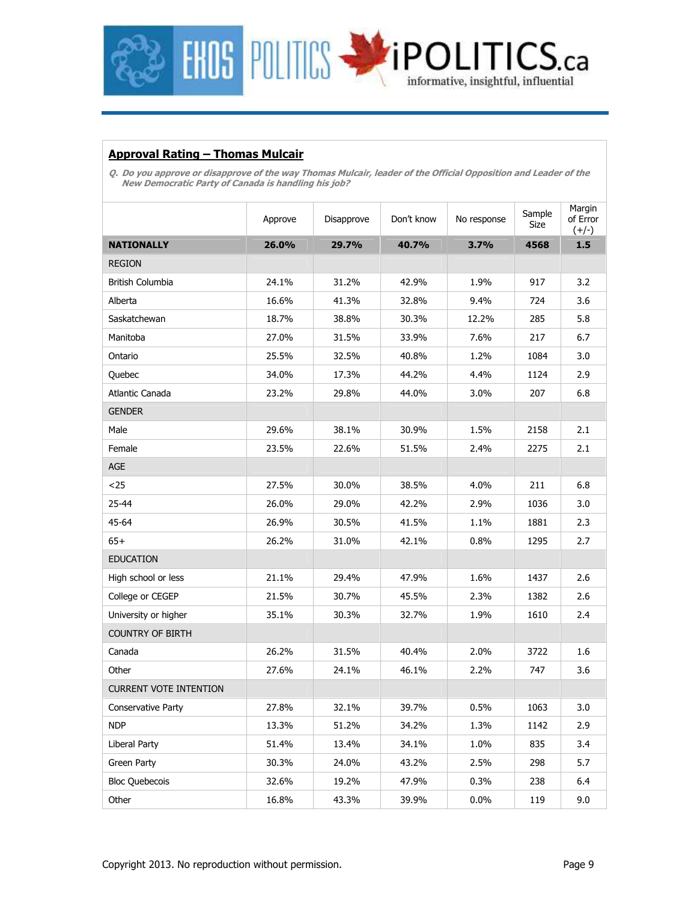

#### **Approval Rating – Thomas Mulcair**

**Q. Do you approve or disapprove of the way Thomas Mulcair, leader of the Official Opposition and Leader of the New Democratic Party of Canada is handling his job?**

|                               | Approve | Disapprove | Don't know | No response | Sample<br>Size | Margin<br>of Error<br>$(+/-)$ |
|-------------------------------|---------|------------|------------|-------------|----------------|-------------------------------|
| <b>NATIONALLY</b>             | 26.0%   | 29.7%      | 40.7%      | 3.7%        | 4568           | 1.5                           |
| <b>REGION</b>                 |         |            |            |             |                |                               |
| <b>British Columbia</b>       | 24.1%   | 31.2%      | 42.9%      | 1.9%        | 917            | 3.2                           |
| Alberta                       | 16.6%   | 41.3%      | 32.8%      | 9.4%        | 724            | 3.6                           |
| Saskatchewan                  | 18.7%   | 38.8%      | 30.3%      | 12.2%       | 285            | 5.8                           |
| Manitoba                      | 27.0%   | 31.5%      | 33.9%      | 7.6%        | 217            | 6.7                           |
| Ontario                       | 25.5%   | 32.5%      | 40.8%      | 1.2%        | 1084           | 3.0                           |
| Quebec                        | 34.0%   | 17.3%      | 44.2%      | 4.4%        | 1124           | 2.9                           |
| Atlantic Canada               | 23.2%   | 29.8%      | 44.0%      | 3.0%        | 207            | 6.8                           |
| <b>GENDER</b>                 |         |            |            |             |                |                               |
| Male                          | 29.6%   | 38.1%      | 30.9%      | 1.5%        | 2158           | 2.1                           |
| Female                        | 23.5%   | 22.6%      | 51.5%      | 2.4%        | 2275           | 2.1                           |
| AGE                           |         |            |            |             |                |                               |
| $25$                          | 27.5%   | 30.0%      | 38.5%      | 4.0%        | 211            | 6.8                           |
| 25-44                         | 26.0%   | 29.0%      | 42.2%      | 2.9%        | 1036           | 3.0                           |
| 45-64                         | 26.9%   | 30.5%      | 41.5%      | 1.1%        | 1881           | 2.3                           |
| $65+$                         | 26.2%   | 31.0%      | 42.1%      | 0.8%        | 1295           | 2.7                           |
| <b>EDUCATION</b>              |         |            |            |             |                |                               |
| High school or less           | 21.1%   | 29.4%      | 47.9%      | 1.6%        | 1437           | 2.6                           |
| College or CEGEP              | 21.5%   | 30.7%      | 45.5%      | 2.3%        | 1382           | 2.6                           |
| University or higher          | 35.1%   | 30.3%      | 32.7%      | 1.9%        | 1610           | 2.4                           |
| <b>COUNTRY OF BIRTH</b>       |         |            |            |             |                |                               |
| Canada                        | 26.2%   | 31.5%      | 40.4%      | 2.0%        | 3722           | 1.6                           |
| Other                         | 27.6%   | 24.1%      | 46.1%      | 2.2%        | 747            | 3.6                           |
| <b>CURRENT VOTE INTENTION</b> |         |            |            |             |                |                               |
| Conservative Party            | 27.8%   | 32.1%      | 39.7%      | 0.5%        | 1063           | 3.0                           |
| NDP                           | 13.3%   | 51.2%      | 34.2%      | 1.3%        | 1142           | 2.9                           |
| Liberal Party                 | 51.4%   | 13.4%      | 34.1%      | 1.0%        | 835            | 3.4                           |
| Green Party                   | 30.3%   | 24.0%      | 43.2%      | 2.5%        | 298            | 5.7                           |
| <b>Bloc Quebecois</b>         | 32.6%   | 19.2%      | 47.9%      | 0.3%        | 238            | 6.4                           |
| Other                         | 16.8%   | 43.3%      | 39.9%      | 0.0%        | 119            | 9.0                           |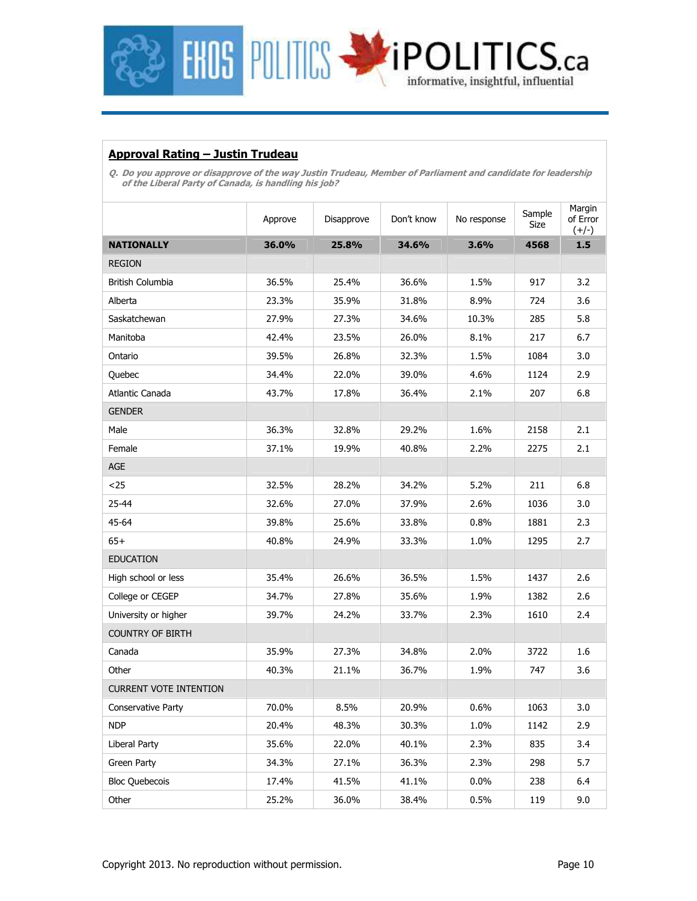

#### **Approval Rating – Justin Trudeau**

**Q. Do you approve or disapprove of the way Justin Trudeau, Member of Parliament and candidate for leadership of the Liberal Party of Canada, is handling his job?** 

|                               | Approve | Disapprove | Don't know | No response | Sample<br>Size | Margin<br>of Error<br>$(+/-)$ |
|-------------------------------|---------|------------|------------|-------------|----------------|-------------------------------|
| <b>NATIONALLY</b>             | 36.0%   | 25.8%      | 34.6%      | 3.6%        | 4568           | 1.5                           |
| <b>REGION</b>                 |         |            |            |             |                |                               |
| British Columbia              | 36.5%   | 25.4%      | 36.6%      | 1.5%        | 917            | 3.2                           |
| Alberta                       | 23.3%   | 35.9%      | 31.8%      | 8.9%        | 724            | 3.6                           |
| Saskatchewan                  | 27.9%   | 27.3%      | 34.6%      | 10.3%       | 285            | 5.8                           |
| Manitoba                      | 42.4%   | 23.5%      | 26.0%      | 8.1%        | 217            | 6.7                           |
| Ontario                       | 39.5%   | 26.8%      | 32.3%      | 1.5%        | 1084           | 3.0                           |
| Quebec                        | 34.4%   | 22.0%      | 39.0%      | 4.6%        | 1124           | 2.9                           |
| Atlantic Canada               | 43.7%   | 17.8%      | 36.4%      | 2.1%        | 207            | 6.8                           |
| <b>GENDER</b>                 |         |            |            |             |                |                               |
| Male                          | 36.3%   | 32.8%      | 29.2%      | 1.6%        | 2158           | 2.1                           |
| Female                        | 37.1%   | 19.9%      | 40.8%      | 2.2%        | 2275           | 2.1                           |
| AGE                           |         |            |            |             |                |                               |
| $25$                          | 32.5%   | 28.2%      | 34.2%      | 5.2%        | 211            | 6.8                           |
| 25-44                         | 32.6%   | 27.0%      | 37.9%      | 2.6%        | 1036           | 3.0                           |
| 45-64                         | 39.8%   | 25.6%      | 33.8%      | 0.8%        | 1881           | 2.3                           |
| $65+$                         | 40.8%   | 24.9%      | 33.3%      | 1.0%        | 1295           | 2.7                           |
| <b>EDUCATION</b>              |         |            |            |             |                |                               |
| High school or less           | 35.4%   | 26.6%      | 36.5%      | 1.5%        | 1437           | 2.6                           |
| College or CEGEP              | 34.7%   | 27.8%      | 35.6%      | 1.9%        | 1382           | 2.6                           |
| University or higher          | 39.7%   | 24.2%      | 33.7%      | 2.3%        | 1610           | 2.4                           |
| <b>COUNTRY OF BIRTH</b>       |         |            |            |             |                |                               |
| Canada                        | 35.9%   | 27.3%      | 34.8%      | 2.0%        | 3722           | 1.6                           |
| Other                         | 40.3%   | 21.1%      | 36.7%      | 1.9%        | 747            | 3.6                           |
| <b>CURRENT VOTE INTENTION</b> |         |            |            |             |                |                               |
| Conservative Party            | 70.0%   | 8.5%       | 20.9%      | 0.6%        | 1063           | 3.0                           |
| NDP                           | 20.4%   | 48.3%      | 30.3%      | 1.0%        | 1142           | 2.9                           |
| <b>Liberal Party</b>          | 35.6%   | 22.0%      | 40.1%      | 2.3%        | 835            | 3.4                           |
| Green Party                   | 34.3%   | 27.1%      | 36.3%      | 2.3%        | 298            | 5.7                           |
| <b>Bloc Quebecois</b>         | 17.4%   | 41.5%      | 41.1%      | 0.0%        | 238            | 6.4                           |
| Other                         | 25.2%   | 36.0%      | 38.4%      | 0.5%        | 119            | 9.0                           |